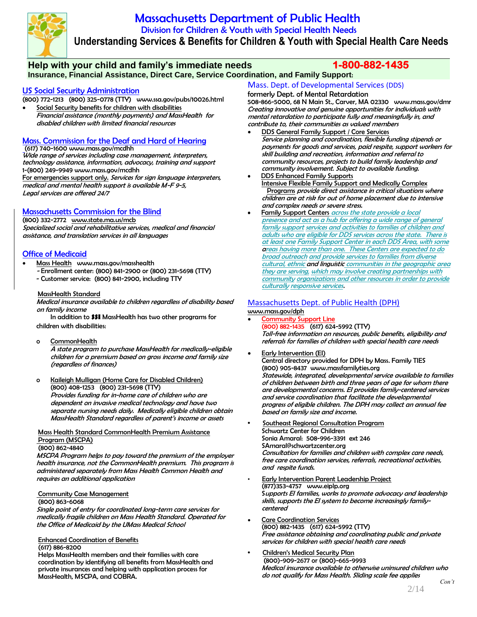

# Massachusetts Department of Public Health Division for Children & Youth with Special Health Needs  **Understanding Services & Benefits for Children & Youth with Special Health Care Needs**

### **Help with your child and family's immediate needs 1-800-882-1435 Insurance, Financial Assistance, Direct Care, Service Coordination, and Family Support**:

### US Social Security Administration

- (800) 772-1213 (800) 325-0778 (TTY) [www.ssa.gov/pubs/10026.html](http://www.ssa.gov/pubs/10026.html) Social Security benefits for children with disabilities
- Financial assistance (monthly payments) and MassHealth for disabled children with limited financial resources

## Mass. Commission for the Deaf and Hard of Hearing

### (617) 740-160[0 www.mass.gov/mcdhh](http://www.mass.gov/mcdhh)

Wide range of services including case management, interpreters, technology assistance, information, advocacy, training and support 1-(800) 249-9949 [www.mass.gov/mcdhh](http://www.mass.gov/mcdhh)

For emergencies support only. Services for sign language interpreters, medical and mental health support is available M-F 9-5, Legal services are offered 24/7

## Massachusetts Commission for the Blind

(800) 332-2772 [www.state.ma.us/mcb](http://www.state.ma.us/mcb) Specialized social and rehabilitative services, medical and financial assistance, and translation services in all languages

## **Office of Medicaid**

- Mass Health[www.mass.gov/masshealth](http://www.mass.gov/masshealth)
	- Enrollment center: (800) 841-2900 or (800) 231-5698 (TTY)
	- Customer service: (800) 841-2900, including TTY

### MassHealth Standard

Medical insurance available to children regardless of disability based on family income

In addition to **SSI** MassHealth has two other programs for children with disabilities:

#### o CommonHealth

A state program to purchase MassHealth for medically-eligible children for a premium based on gross income and family size (regardless of finances)

#### o Kaileigh Mulligan (Home Care for Disabled Children) (800) 408-1253 (800) 231-5698 (TTY)

Provides funding for in-home care of children who are dependent on invasive medical technology and have two separate nursing needs daily. Medically eligible children obtain MassHealth Standard regardless of parent's income or assets

#### Mass Health Standard CommonHealth Premium Assistance Program (MSCPA)

#### (800) 862-4840

MSCPA Program helps to pay toward the premium of the employer health insurance, not the CommonHealth premium.This program is administered separately from Mass Health Common Health and requires an additional application

#### **Community Case Management**

#### (800) 863-6068

Single point of entry for coordinated long-term care services for medically fragile children on Mass Health Standard. Operated for the Office of Medicaid by the UMass Medical School

### Enhanced Coordination of Benefits

#### (617) 886-8200

Helps MassHealth members and their families with care coordination by identifying all benefits from MassHealth and private insurances and helping with application process for MassHealth, MSCPA, and COBRA.

Mass. Dept. of Developmental Services (DDS)

### formerly Dept. of Mental Retardation

508-866-5000, 68 N Main St., Carver, MA 02330 [www.mass.gov/dmr](http://www.mass.gov/dmr) Creating innovative and genuine opportunities for individuals with mental retardation to participate fully and meaningfully in, and contribute to, their communities as valued members

- DDS General Family Support / Core Services Service planning and coordination, flexible funding stipends or payments for goods and services, paid respite, support workers for skill building and recreation, information and referral to community resources, projects to build family leadership and community involvement. Subject to available funding.
- •DDS Enhanced Family Supports **Intensive Flexible Family Support and Medically Complex** Programs provide direct assistance in critical situations where children are at risk for out of home placement due to intensive and complex needs or severe stress.
- **Family Support Centers across the state provide a local**  presence and act as a hub for offering a wide range of general family support services and activities to families of children and adults who are eligible for DDS services across the state. There is at least one Family Support Center in each DDS Area, with some areas having more than one. These Centers are expected to do broad outreach and provide services to families from diverse cultural, ethnic and linguistic communities in the geographic area they are serving, which may involve creating partnerships with community organizations and other resources in order to provide culturally responsive services.

#### Massachusetts Dept. of Public Health (DPH) [www.mass.gov/dph](http://www.mass.gov/dph)

- Community Support Line (800) 882-1435(617) 624-5992 (TTY) Toll-free information on resources, public benefits, eligibility and referrals for families of children with special health care needs
- Early Intervention (EI) Central directory provided for DPH by Mass. Family TIES (800) 905-8437 [www.massfamilyties.org](http://www.massfamilyties.org/) Statewide, integrated, developmental service available to families of children between birth and three years of age for whom there are developmental concerns. EI provides family-centered services and service coordination that facilitate the developmental progress of eligible children. The DPH may collect an annual fee based on family size and income.
- **•** Southeast Regional Consultation Program Schwartz Center for Children Sonia Amaral: 508-996-3391 ext 246 SAmaral@schwartzcenter.org Consultation for families and children with complex care needs, free care coordination services, referrals, recreational activities, and respite funds.
- **Early Intervention Parent Leadership Project**  (877)353-4757 [www.eiplp.org](http://www.eiplp.org/) Supports EI families, works to promote advocacy and leadership skills, supports the EI system to become increasingly family centered
- Care Coordination Services (800) 882-1435 (617) 624-5992 (TTY) Free assistance obtaining and coordinating public and private services for children with special health care needs
- **•** Children's Medical Security Plan (800)-909-2677 or (800)-665-9993 Medical insurance available to otherwise uninsured children who do not qualify for Mass Health. Sliding scale fee applies *Con't*